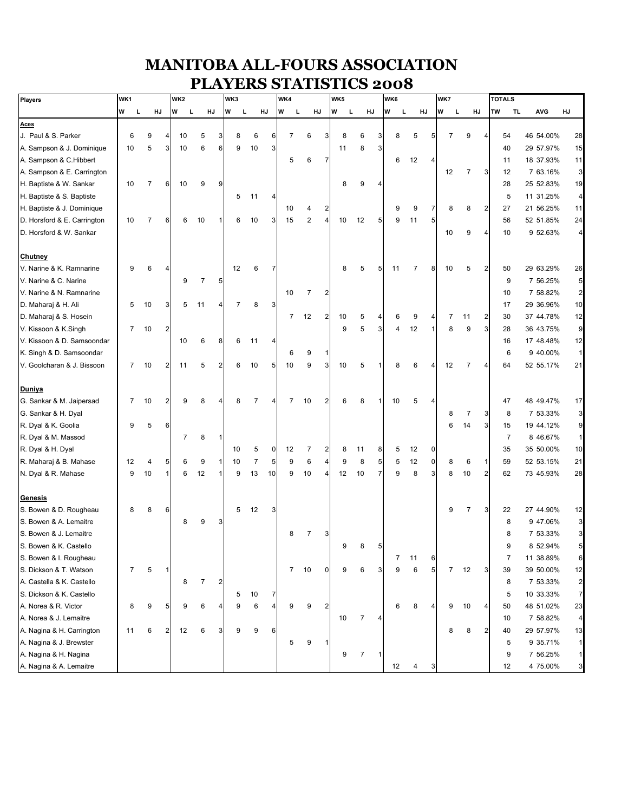## **MANITOBA ALL-FOURS ASSOCIATION PLAYERS STATISTICS 2008**

| Players                     |   | WK1            |                |                | WK <sub>2</sub> |     |                |                | WK3            |    |                |                | WK4            |                |                |   | WK5 |    |                |   | WK6 |                |                | WK7            |                |    |    | <b>TOTALS</b>  |            |                |
|-----------------------------|---|----------------|----------------|----------------|-----------------|-----|----------------|----------------|----------------|----|----------------|----------------|----------------|----------------|----------------|---|-----|----|----------------|---|-----|----------------|----------------|----------------|----------------|----|----|----------------|------------|----------------|
|                             | W | L,             | HJ             |                | W               | - L | HJ             |                | W              | L  | HJ             |                | W              | L              | HJ             | W | L   | HJ |                | W | L   | HJ             |                | W              | L              | HJ | TW | <b>TL</b>      | <b>AVG</b> | HJ             |
| Aces                        |   |                |                |                |                 |     |                |                |                |    |                |                |                |                |                |   |     |    |                |   |     |                |                |                |                |    |    |                |            |                |
| J. Paul & S. Parker         |   | 6              | 9              |                | 10              |     | 5              | 3              | 8              |    | 6              | 6              | $\overline{7}$ | 6              | 3              |   | 8   | 6  |                |   | 8   | 5              |                | $\overline{7}$ | 9              |    |    | 54             | 46 54.00%  | 28             |
| A. Sampson & J. Dominique   |   | 10             | 5              | 3              | 10              |     | 6              | 6              | 9              | 10 |                | 3              |                |                |                |   | 11  | 8  |                |   |     |                |                |                |                |    |    | 40             | 29 57.97%  | 15             |
| A. Sampson & C.Hibbert      |   |                |                |                |                 |     |                |                |                |    |                |                | 5              | 6              | $\overline{7}$ |   |     |    |                |   | 6   | 12             |                |                |                |    |    | 11             | 18 37.93%  | 11             |
| A. Sampson & E. Carrington  |   |                |                |                |                 |     |                |                |                |    |                |                |                |                |                |   |     |    |                |   |     |                |                | 12             | $\overline{7}$ |    |    | 12             | 7 63.16%   | 3              |
| H. Baptiste & W. Sankar     |   | 10             | $\overline{7}$ | 6              | 10              |     | 9              | 9              |                |    |                |                |                |                |                |   | 8   | 9  |                |   |     |                |                |                |                |    |    | 28             | 25 52.83%  | 19             |
| H. Baptiste & S. Baptiste   |   |                |                |                |                 |     |                |                | 5              | 11 |                | Δ              |                |                |                |   |     |    |                |   |     |                |                |                |                |    |    | 5              | 11 31.25%  | $\overline{4}$ |
| H. Baptiste & J. Dominique  |   |                |                |                |                 |     |                |                |                |    |                |                | 10             | 4              | 2              |   |     |    |                |   | 9   | 9              |                | 8              | 8              |    |    | 27             | 21 56.25%  | 11             |
| D. Horsford & E. Carrington |   | 10             | $\overline{7}$ | 6              |                 | 6   | 10             | -1             | 6              | 10 |                | 3              | 15             | $\overline{2}$ | $\overline{4}$ |   | 10  | 12 | 5 <sub>l</sub> |   | 9   | 11             | 5 <sub>l</sub> |                |                |    |    | 56             | 52 51.85%  | 24             |
| D. Horsford & W. Sankar     |   |                |                |                |                 |     |                |                |                |    |                |                |                |                |                |   |     |    |                |   |     |                |                | 10             | 9              |    |    | 10             | 9 52.63%   | $\overline{4}$ |
| Chutney                     |   |                |                |                |                 |     |                |                |                |    |                |                |                |                |                |   |     |    |                |   |     |                |                |                |                |    |    |                |            |                |
| V. Narine & K. Ramnarine    |   | 9              | 6              | Δ              |                 |     |                |                | 12             |    | 6              | $\overline{7}$ |                |                |                |   | 8   | 5  | 5              |   | 11  | $\overline{7}$ | 8              | 10             | 5              |    |    | 50             | 29 63.29%  | 26             |
| V. Narine & C. Narine       |   |                |                |                |                 | 9   | $\overline{7}$ | 5              |                |    |                |                |                |                |                |   |     |    |                |   |     |                |                |                |                |    |    | 9              | 7 56.25%   | 5              |
| V. Narine & N. Ramnarine    |   |                |                |                |                 |     |                |                |                |    |                |                | 10             | $\overline{7}$ | 2              |   |     |    |                |   |     |                |                |                |                |    |    | 10             | 7 58.82%   | $\overline{a}$ |
| D. Maharaj & H. Ali         |   | 5              | 10             | 3              |                 | 5   | 11             | 4              | $\overline{7}$ |    | 8              | 3              |                |                |                |   |     |    |                |   |     |                |                |                |                |    |    | 17             | 29 36.96%  | 10             |
| D. Maharaj & S. Hosein      |   |                |                |                |                 |     |                |                |                |    |                |                | $\overline{7}$ | 12             | 2              |   | 10  | 5  |                |   | 6   | 9              |                | $\overline{7}$ | 11             |    |    | 30             | 37 44.78%  | 12             |
| V. Kissoon & K.Singh        |   | $\overline{7}$ | 10             | $\overline{2}$ |                 |     |                |                |                |    |                |                |                |                |                |   | 9   | 5  | 3              |   | 4   | 12             |                | 8              | 9              |    |    | 28             | 36 43.75%  | $9\,$          |
| V. Kissoon & D. Samsoondar  |   |                |                |                | 10              |     | 6              | 8              | 6              | 11 |                | 4              |                |                |                |   |     |    |                |   |     |                |                |                |                |    |    | 16             | 17 48.48%  | 12             |
| K. Singh & D. Samsoondar    |   |                |                |                |                 |     |                |                |                |    |                |                | 6              | 9              | 1              |   |     |    |                |   |     |                |                |                |                |    |    | 6              | 9 40.00%   | 1              |
| V. Goolcharan & J. Bissoon  |   | 7              | 10             | 2              | 11              |     | 5              | 2              | 6              | 10 |                | 5              | 10             | 9              | 3              |   | 10  | 5  |                |   | 8   | 6              |                | 12             | 7              |    |    | 64             | 52 55.17%  | 21             |
| Duniya                      |   |                |                |                |                 |     |                |                |                |    |                |                |                |                |                |   |     |    |                |   |     |                |                |                |                |    |    |                |            |                |
| G. Sankar & M. Jaipersad    |   | 7              | 10             | 2              |                 | 9   | 8              | 4              | 8              |    | $\overline{7}$ | 4              | 7              | 10             | 2              |   | 6   | 8  |                |   | 10  | 5              | 4              |                |                |    |    | 47             | 48 49.47%  | 17             |
| G. Sankar & H. Dyal         |   |                |                |                |                 |     |                |                |                |    |                |                |                |                |                |   |     |    |                |   |     |                |                | 8              | 7              |    |    | 8              | 7 53.33%   | 3              |
| R. Dyal & K. Goolia         |   | 9              | 5              | 6              |                 |     |                |                |                |    |                |                |                |                |                |   |     |    |                |   |     |                |                | 6              | 14             |    |    | 15             | 19 44.12%  | $\overline{9}$ |
| R. Dyal & M. Massod         |   |                |                |                |                 | 7   | 8              | $\overline{1}$ |                |    |                |                |                |                |                |   |     |    |                |   |     |                |                |                |                |    |    | $\overline{7}$ | 8 46.67%   | 1              |
| R. Dyal & H. Dyal           |   |                |                |                |                 |     |                |                | 10             |    | 5              | $\mathbf 0$    | 12             | 7              | 2              |   | 8   | 11 | 8              |   | 5   | 12             | 0              |                |                |    |    | 35             | 35 50.00%  | 10             |
| R. Maharaj & B. Mahase      |   | 12             | 4              | 5              |                 | 6   | 9              | -1             | 10             |    | $\overline{7}$ | 5              | 9              | 6              | 4              |   | 9   | 8  | 5              |   | 5   | 12             | $\mathbf{0}$   | 8              | 6              |    |    | 59             | 52 53.15%  | 21             |
| N. Dyal & R. Mahase         |   | 9              | 10             | -1             |                 | 6   | 12             | $\mathbf{1}$   | 9              | 13 |                | 10             | 9              | 10             | 4              |   | 12  | 10 | 7              |   | 9   | 8              | 3              | 8              | 10             |    |    | 62             | 73 45.93%  | 28             |
| <b>Genesis</b>              |   |                |                |                |                 |     |                |                |                |    |                |                |                |                |                |   |     |    |                |   |     |                |                |                |                |    |    |                |            |                |
| S. Bowen & D. Rougheau      |   | 8              | 8              | 6              |                 |     |                |                | 5              | 12 |                | 3              |                |                |                |   |     |    |                |   |     |                |                | 9              | 7              |    |    | 22             | 27 44.90%  | 12             |
| S. Bowen & A. Lemaitre      |   |                |                |                |                 | 8   | 9              | 3              |                |    |                |                |                |                |                |   |     |    |                |   |     |                |                |                |                |    |    | 8              | 9 47.06%   | 3              |
| S. Bowen & J. Lemaitre      |   |                |                |                |                 |     |                |                |                |    |                |                | 8              | $\overline{7}$ |                |   |     |    |                |   |     |                |                |                |                |    |    | 8              | 7 53.33%   | $\overline{3}$ |
| S. Bowen & K. Castello      |   |                |                |                |                 |     |                |                |                |    |                |                |                |                |                |   | 9   | 8  |                |   |     |                |                |                |                |    |    | 9              | 8 52.94%   | 5 <sub>5</sub> |
| S. Bowen & I. Rougheau      |   |                |                |                |                 |     |                |                |                |    |                |                |                |                |                |   |     |    |                |   | 7   | 11             | 6              |                |                |    |    | 7              | 11 38.89%  | 6              |
| S. Dickson & T. Watson      |   | 7              | 5              | -1             |                 |     |                |                |                |    |                |                | $\overline{7}$ | 10             |                | 0 | 9   | 6  | 3              |   | 9   | 6              | 5 <sub>l</sub> | $\overline{7}$ | 12             |    |    | 39             | 39 50.00%  | 12             |
| A. Castella & K. Castello   |   |                |                |                |                 | 8   | 7              | 2              |                |    |                |                |                |                |                |   |     |    |                |   |     |                |                |                |                |    |    | 8              | 7 53.33%   | $\overline{a}$ |
| S. Dickson & K. Castello    |   |                |                |                |                 |     |                |                | 5              |    | 10             | 7              |                |                |                |   |     |    |                |   |     |                |                |                |                |    |    | 5              | 10 33.33%  | $\overline{7}$ |
| A. Norea & R. Victor        |   | 8              | 9              | 5              |                 | 9   | 6              | 4              | 9              |    | 6              | 4              | 9              | 9              | 2              |   |     |    |                |   | 6   | 8              |                | 9              | 10             |    |    | 50             | 48 51.02%  | 23             |
| A. Norea & J. Lemaitre      |   |                |                |                |                 |     |                |                |                |    |                |                |                |                |                |   |     | 7  |                |   |     |                |                |                |                |    |    |                | 7 58.82%   | $\overline{a}$ |
| A. Nagina & H. Carrington   |   |                | 6              |                | 12              |     | 6              | 3              | 9              |    | 9              | 6              |                |                |                |   | 10  |    |                |   |     |                |                | 8              | 8              |    |    | 10             | 29 57.97%  | 13             |
|                             |   | 11             |                | $\overline{c}$ |                 |     |                |                |                |    |                |                |                |                |                |   |     |    |                |   |     |                |                |                |                |    |    | 40             |            |                |
| A. Nagina & J. Brewster     |   |                |                |                |                 |     |                |                |                |    |                |                | 5              | 9              | 1              |   |     |    |                |   |     |                |                |                |                |    |    | 5              | 9 35.71%   | $\mathbf{1}$   |
| A. Nagina & H. Nagina       |   |                |                |                |                 |     |                |                |                |    |                |                |                |                |                |   | 9   | 7  | -1             |   |     |                |                |                |                |    |    | 9              | 7 56.25%   | $\mathbf{1}$   |
| A. Nagina & A. Lemaitre     |   |                |                |                |                 |     |                |                |                |    |                |                |                |                |                |   |     |    |                |   | 12  | 4              |                |                |                |    |    | 12             | 4 75.00%   | 3              |